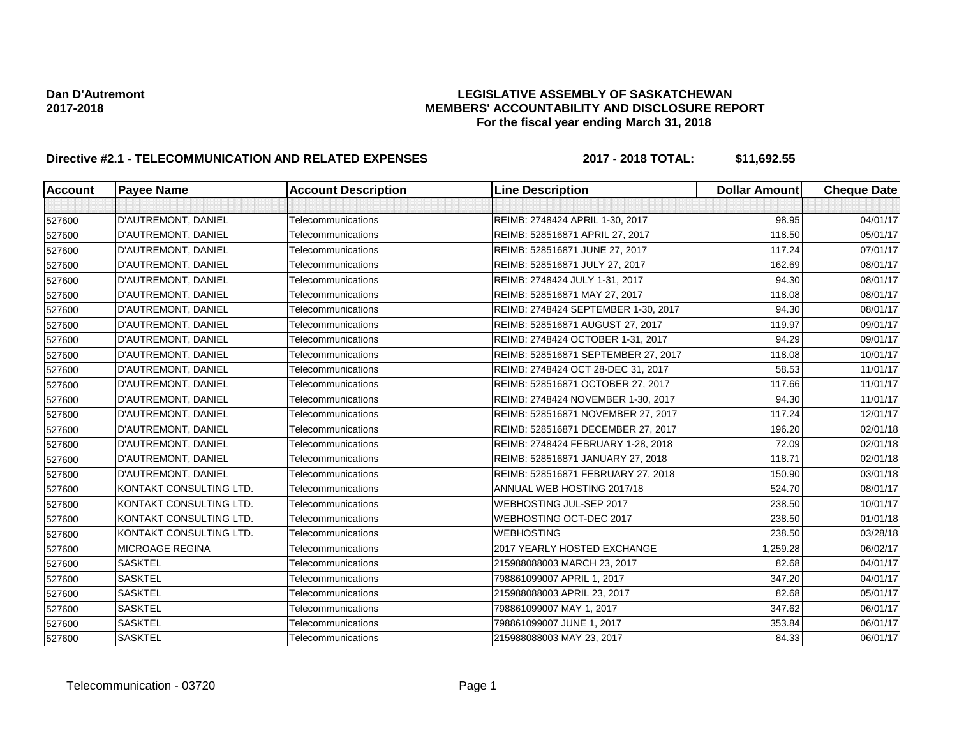### **Dan D'Autremont LEGISLATIVE ASSEMBLY OF SASKATCHEWAN 2017-2018 MEMBERS' ACCOUNTABILITY AND DISCLOSURE REPORT For the fiscal year ending March 31, 2018**

# **Directive #2.1 - TELECOMMUNICATION AND RELATED EXPENSES 2017 - 2018 TOTAL: \$11,692.55**

| Account | <b>Payee Name</b>       | <b>Account Description</b> | <b>Line Description</b>             | <b>Dollar Amount</b> | <b>Cheque Date</b> |
|---------|-------------------------|----------------------------|-------------------------------------|----------------------|--------------------|
|         |                         |                            |                                     |                      |                    |
| 527600  | D'AUTREMONT, DANIEL     | Telecommunications         | REIMB: 2748424 APRIL 1-30, 2017     | 98.95                | 04/01/17           |
| 527600  | D'AUTREMONT, DANIEL     | Telecommunications         | REIMB: 528516871 APRIL 27, 2017     | 118.50               | 05/01/17           |
| 527600  | D'AUTREMONT, DANIEL     | Telecommunications         | REIMB: 528516871 JUNE 27, 2017      | 117.24               | 07/01/17           |
| 527600  | D'AUTREMONT, DANIEL     | Telecommunications         | REIMB: 528516871 JULY 27, 2017      | 162.69               | 08/01/17           |
| 527600  | D'AUTREMONT, DANIEL     | Telecommunications         | REIMB: 2748424 JULY 1-31, 2017      | 94.30                | 08/01/17           |
| 527600  | D'AUTREMONT, DANIEL     | Telecommunications         | REIMB: 528516871 MAY 27, 2017       | 118.08               | 08/01/17           |
| 527600  | D'AUTREMONT, DANIEL     | Telecommunications         | REIMB: 2748424 SEPTEMBER 1-30, 2017 | 94.30                | 08/01/17           |
| 527600  | D'AUTREMONT, DANIEL     | Telecommunications         | REIMB: 528516871 AUGUST 27, 2017    | 119.97               | 09/01/17           |
| 527600  | D'AUTREMONT, DANIEL     | Telecommunications         | REIMB: 2748424 OCTOBER 1-31, 2017   | 94.29                | 09/01/17           |
| 527600  | D'AUTREMONT, DANIEL     | Telecommunications         | REIMB: 528516871 SEPTEMBER 27, 2017 | 118.08               | 10/01/17           |
| 527600  | D'AUTREMONT, DANIEL     | Telecommunications         | REIMB: 2748424 OCT 28-DEC 31, 2017  | 58.53                | 11/01/17           |
| 527600  | D'AUTREMONT, DANIEL     | Telecommunications         | REIMB: 528516871 OCTOBER 27, 2017   | 117.66               | 11/01/17           |
| 527600  | D'AUTREMONT, DANIEL     | Telecommunications         | REIMB: 2748424 NOVEMBER 1-30, 2017  | 94.30                | 11/01/17           |
| 527600  | D'AUTREMONT, DANIEL     | Telecommunications         | REIMB: 528516871 NOVEMBER 27, 2017  | 117.24               | 12/01/17           |
| 527600  | D'AUTREMONT, DANIEL     | Telecommunications         | REIMB: 528516871 DECEMBER 27, 2017  | 196.20               | 02/01/18           |
| 527600  | D'AUTREMONT, DANIEL     | Telecommunications         | REIMB: 2748424 FEBRUARY 1-28, 2018  | 72.09                | 02/01/18           |
| 527600  | D'AUTREMONT, DANIEL     | Telecommunications         | REIMB: 528516871 JANUARY 27, 2018   | 118.71               | 02/01/18           |
| 527600  | D'AUTREMONT, DANIEL     | Telecommunications         | REIMB: 528516871 FEBRUARY 27, 2018  | 150.90               | 03/01/18           |
| 527600  | KONTAKT CONSULTING LTD. | Telecommunications         | ANNUAL WEB HOSTING 2017/18          | 524.70               | 08/01/17           |
| 527600  | KONTAKT CONSULTING LTD. | Telecommunications         | WEBHOSTING JUL-SEP 2017             | 238.50               | 10/01/17           |
| 527600  | KONTAKT CONSULTING LTD. | Telecommunications         | WEBHOSTING OCT-DEC 2017             | 238.50               | 01/01/18           |
| 527600  | KONTAKT CONSULTING LTD. | Telecommunications         | <b>WEBHOSTING</b>                   | 238.50               | 03/28/18           |
| 527600  | <b>MICROAGE REGINA</b>  | Telecommunications         | 2017 YEARLY HOSTED EXCHANGE         | 1,259.28             | 06/02/17           |
| 527600  | <b>SASKTEL</b>          | Telecommunications         | 215988088003 MARCH 23, 2017         | 82.68                | 04/01/17           |
| 527600  | <b>SASKTEL</b>          | Telecommunications         | 798861099007 APRIL 1, 2017          | 347.20               | 04/01/17           |
| 527600  | <b>SASKTEL</b>          | Telecommunications         | 215988088003 APRIL 23, 2017         | 82.68                | 05/01/17           |
| 527600  | <b>SASKTEL</b>          | Telecommunications         | 798861099007 MAY 1, 2017            | 347.62               | 06/01/17           |
| 527600  | <b>SASKTEL</b>          | Telecommunications         | 798861099007 JUNE 1, 2017           | 353.84               | 06/01/17           |
| 527600  | <b>SASKTEL</b>          | Telecommunications         | 215988088003 MAY 23, 2017           | 84.33                | 06/01/17           |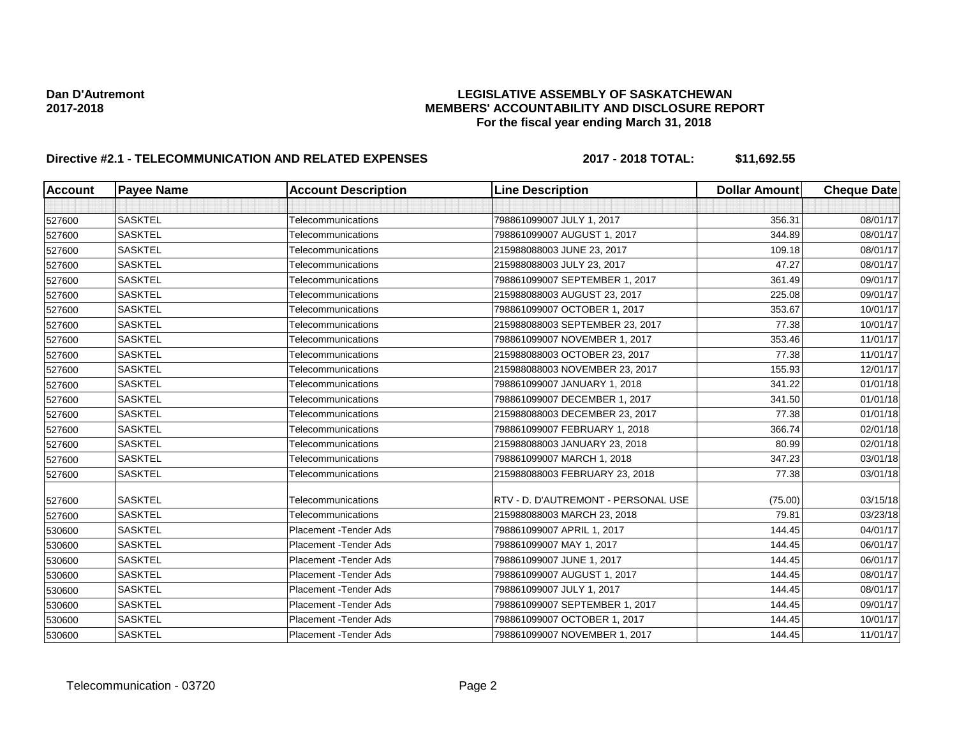### **Dan D'Autremont LEGISLATIVE ASSEMBLY OF SASKATCHEWAN 2017-2018 MEMBERS' ACCOUNTABILITY AND DISCLOSURE REPORT For the fiscal year ending March 31, 2018**

# **Directive #2.1 - TELECOMMUNICATION AND RELATED EXPENSES 2017 - 2018 TOTAL: \$11,692.55**

| <b>Account</b> | <b>Payee Name</b> | <b>Account Description</b> | <b>Line Description</b>             | <b>Dollar Amount</b> | <b>Cheque Date</b> |
|----------------|-------------------|----------------------------|-------------------------------------|----------------------|--------------------|
|                |                   |                            |                                     |                      |                    |
| 527600         | <b>SASKTEL</b>    | Telecommunications         | 798861099007 JULY 1, 2017           | 356.31               | 08/01/17           |
| 527600         | <b>SASKTEL</b>    | Telecommunications         | 798861099007 AUGUST 1, 2017         | 344.89               | 08/01/17           |
| 527600         | <b>SASKTEL</b>    | Telecommunications         | 215988088003 JUNE 23, 2017          | 109.18               | 08/01/17           |
| 527600         | <b>SASKTEL</b>    | Telecommunications         | 215988088003 JULY 23, 2017          | 47.27                | 08/01/17           |
| 527600         | <b>SASKTEL</b>    | Telecommunications         | 798861099007 SEPTEMBER 1, 2017      | 361.49               | 09/01/17           |
| 527600         | <b>SASKTEL</b>    | Telecommunications         | 215988088003 AUGUST 23, 2017        | 225.08               | 09/01/17           |
| 527600         | <b>SASKTEL</b>    | Telecommunications         | 798861099007 OCTOBER 1, 2017        | 353.67               | 10/01/17           |
| 527600         | <b>SASKTEL</b>    | Telecommunications         | 215988088003 SEPTEMBER 23, 2017     | 77.38                | 10/01/17           |
| 527600         | <b>SASKTEL</b>    | Telecommunications         | 798861099007 NOVEMBER 1, 2017       | 353.46               | 11/01/17           |
| 527600         | <b>SASKTEL</b>    | Telecommunications         | 215988088003 OCTOBER 23, 2017       | 77.38                | 11/01/17           |
| 527600         | <b>SASKTEL</b>    | Telecommunications         | 215988088003 NOVEMBER 23, 2017      | 155.93               | 12/01/17           |
| 527600         | <b>SASKTEL</b>    | Telecommunications         | 798861099007 JANUARY 1, 2018        | 341.22               | 01/01/18           |
| 527600         | <b>SASKTEL</b>    | Telecommunications         | 798861099007 DECEMBER 1, 2017       | 341.50               | 01/01/18           |
| 527600         | <b>SASKTEL</b>    | Telecommunications         | 215988088003 DECEMBER 23, 2017      | 77.38                | 01/01/18           |
| 527600         | <b>SASKTEL</b>    | Telecommunications         | 798861099007 FEBRUARY 1, 2018       | 366.74               | 02/01/18           |
| 527600         | <b>SASKTEL</b>    | Telecommunications         | 215988088003 JANUARY 23, 2018       | 80.99                | 02/01/18           |
| 527600         | <b>SASKTEL</b>    | Telecommunications         | 798861099007 MARCH 1, 2018          | 347.23               | 03/01/18           |
| 527600         | <b>SASKTEL</b>    | Telecommunications         | 215988088003 FEBRUARY 23, 2018      | 77.38                | 03/01/18           |
| 527600         | <b>SASKTEL</b>    | Telecommunications         | RTV - D. D'AUTREMONT - PERSONAL USE | (75.00)              | 03/15/18           |
| 527600         | <b>SASKTEL</b>    | Telecommunications         | 215988088003 MARCH 23, 2018         | 79.81                | 03/23/18           |
| 530600         | <b>SASKTEL</b>    | Placement - Tender Ads     | 798861099007 APRIL 1, 2017          | 144.45               | 04/01/17           |
| 530600         | <b>SASKTEL</b>    | Placement - Tender Ads     | 798861099007 MAY 1, 2017            | 144.45               | 06/01/17           |
| 530600         | <b>SASKTEL</b>    | Placement - Tender Ads     | 798861099007 JUNE 1, 2017           | 144.45               | 06/01/17           |
| 530600         | <b>SASKTEL</b>    | Placement - Tender Ads     | 798861099007 AUGUST 1, 2017         | 144.45               | 08/01/17           |
| 530600         | <b>SASKTEL</b>    | Placement - Tender Ads     | 798861099007 JULY 1, 2017           | 144.45               | 08/01/17           |
| 530600         | <b>SASKTEL</b>    | Placement - Tender Ads     | 798861099007 SEPTEMBER 1, 2017      | 144.45               | 09/01/17           |
| 530600         | <b>SASKTEL</b>    | Placement - Tender Ads     | 798861099007 OCTOBER 1, 2017        | 144.45               | 10/01/17           |
| 530600         | <b>SASKTEL</b>    | Placement - Tender Ads     | 798861099007 NOVEMBER 1, 2017       | 144.45               | 11/01/17           |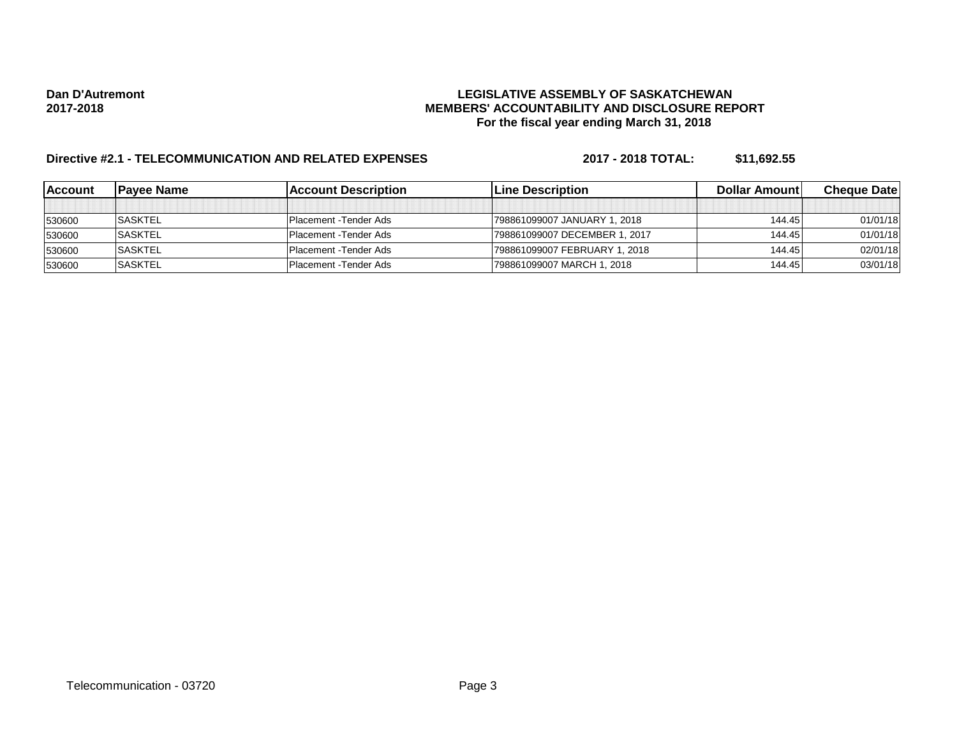### **Dan D'Autremont LEGISLATIVE ASSEMBLY OF SASKATCHEWAN 2017-2018 MEMBERS' ACCOUNTABILITY AND DISCLOSURE REPORT For the fiscal year ending March 31, 2018**

# **Directive #2.1 - TELECOMMUNICATION AND RELATED EXPENSES 2017 - 2018 TOTAL: \$11,692.55**

| lAccount | lPavee Name    | lAccount Description           | <b>ILine Description</b>      | <b>Dollar Amountl</b> | <b>Cheque Datel</b> |
|----------|----------------|--------------------------------|-------------------------------|-----------------------|---------------------|
|          |                |                                |                               |                       |                     |
| 530600   | <b>SASKTEL</b> | IPlacement -Tender Ads         | 798861099007 JANUARY 1, 2018  | 144.45                | 01/01/18            |
| 530600   | <b>SASKTEL</b> | IPlacement -Tender Ads         | 798861099007 DECEMBER 1, 2017 | 144.45                | 01/01/18            |
| 530600   | <b>SASKTEL</b> | <b>IPlacement - Tender Ads</b> | 798861099007 FEBRUARY 1, 2018 | 144.45                | 02/01/18            |
| 530600   | <b>SASKTEL</b> | <b>IPlacement - Tender Ads</b> | 798861099007 MARCH 1, 2018    | 144.45                | 03/01/18            |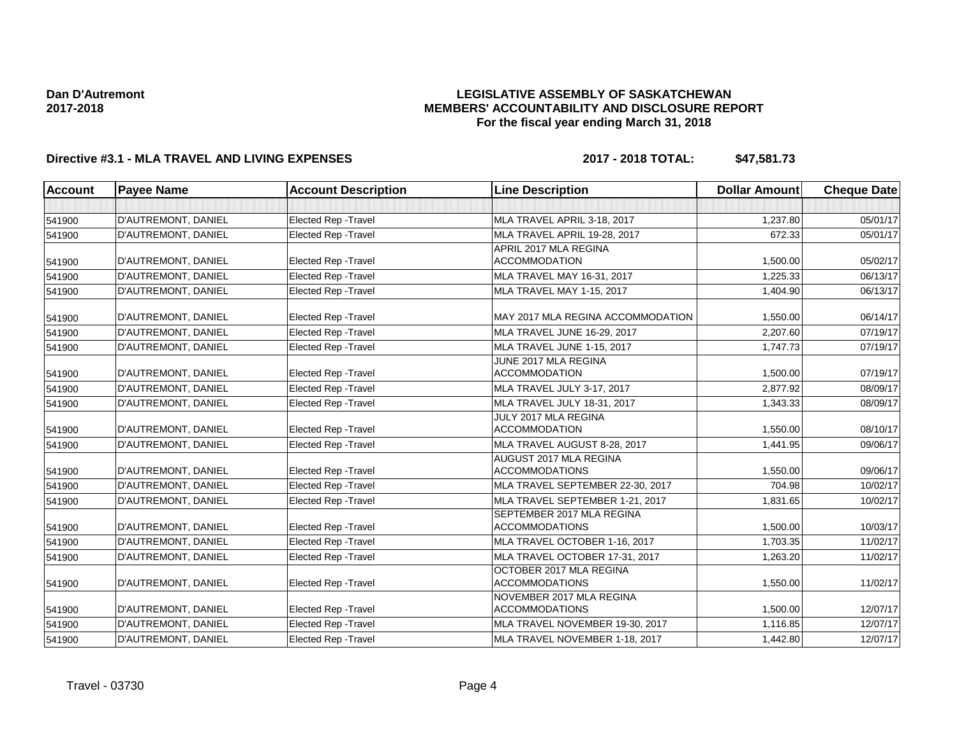### **LEGISLATIVE ASSEMBLY OF SASKATCHEWAN MEMBERS' ACCOUNTABILITY AND DISCLOSURE REPORT For the fiscal year ending March 31, 2018**

## **Directive #3.1 - MLA TRAVEL AND LIVING EXPENSES 2017 - 2018 TOTAL: \$47,581.73**

| <b>Account</b> | <b>Payee Name</b>   | <b>Account Description</b>  | <b>Line Description</b>                            | <b>Dollar Amount</b> | <b>Cheque Date</b> |
|----------------|---------------------|-----------------------------|----------------------------------------------------|----------------------|--------------------|
|                |                     |                             |                                                    |                      |                    |
| 541900         | D'AUTREMONT, DANIEL | <b>Elected Rep - Travel</b> | MLA TRAVEL APRIL 3-18, 2017                        | 1,237.80             | 05/01/17           |
| 541900         | D'AUTREMONT, DANIEL | <b>Elected Rep - Travel</b> | MLA TRAVEL APRIL 19-28, 2017                       | 672.33               | 05/01/17           |
|                |                     |                             | APRIL 2017 MLA REGINA                              |                      |                    |
| 541900         | D'AUTREMONT, DANIEL | Elected Rep - Travel        | <b>ACCOMMODATION</b>                               | 1,500.00             | 05/02/17           |
| 541900         | D'AUTREMONT, DANIEL | Elected Rep - Travel        | MLA TRAVEL MAY 16-31, 2017                         | 1,225.33             | 06/13/17           |
| 541900         | D'AUTREMONT, DANIEL | Elected Rep - Travel        | MLA TRAVEL MAY 1-15, 2017                          | 1,404.90             | 06/13/17           |
| 541900         | D'AUTREMONT, DANIEL | <b>Elected Rep - Travel</b> | MAY 2017 MLA REGINA ACCOMMODATION                  | 1,550.00             | 06/14/17           |
| 541900         | D'AUTREMONT, DANIEL | <b>Elected Rep - Travel</b> | MLA TRAVEL JUNE 16-29, 2017                        | 2.207.60             | 07/19/17           |
| 541900         | D'AUTREMONT, DANIEL | <b>Elected Rep - Travel</b> | MLA TRAVEL JUNE 1-15, 2017                         | 1,747.73             | 07/19/17           |
| 541900         | D'AUTREMONT, DANIEL | Elected Rep - Travel        | JUNE 2017 MLA REGINA<br><b>ACCOMMODATION</b>       | 1,500.00             | 07/19/17           |
| 541900         | D'AUTREMONT, DANIEL | <b>Elected Rep - Travel</b> | MLA TRAVEL JULY 3-17, 2017                         | 2,877.92             | 08/09/17           |
| 541900         | D'AUTREMONT, DANIEL | <b>Elected Rep - Travel</b> | MLA TRAVEL JULY 18-31, 2017                        | 1,343.33             | 08/09/17           |
| 541900         | D'AUTREMONT, DANIEL | Elected Rep - Travel        | JULY 2017 MLA REGINA<br><b>ACCOMMODATION</b>       | 1,550.00             | 08/10/17           |
| 541900         | D'AUTREMONT, DANIEL | Elected Rep - Travel        | MLA TRAVEL AUGUST 8-28, 2017                       | 1,441.95             | 09/06/17           |
| 541900         | D'AUTREMONT, DANIEL | Elected Rep - Travel        | AUGUST 2017 MLA REGINA<br><b>ACCOMMODATIONS</b>    | 1.550.00             | 09/06/17           |
| 541900         | D'AUTREMONT, DANIEL | <b>Elected Rep - Travel</b> | MLA TRAVEL SEPTEMBER 22-30, 2017                   | 704.98               | 10/02/17           |
| 541900         | D'AUTREMONT, DANIEL | <b>Elected Rep - Travel</b> | MLA TRAVEL SEPTEMBER 1-21, 2017                    | 1.831.65             | 10/02/17           |
| 541900         | D'AUTREMONT, DANIEL | <b>Elected Rep - Travel</b> | SEPTEMBER 2017 MLA REGINA<br><b>ACCOMMODATIONS</b> | 1,500.00             | 10/03/17           |
| 541900         | D'AUTREMONT, DANIEL | <b>Elected Rep - Travel</b> | MLA TRAVEL OCTOBER 1-16, 2017                      | 1,703.35             | 11/02/17           |
| 541900         | D'AUTREMONT, DANIEL | <b>Elected Rep - Travel</b> | MLA TRAVEL OCTOBER 17-31, 2017                     | 1,263.20             | 11/02/17           |
| 541900         | D'AUTREMONT, DANIEL | Elected Rep - Travel        | OCTOBER 2017 MLA REGINA<br><b>ACCOMMODATIONS</b>   | 1,550.00             | 11/02/17           |
| 541900         | D'AUTREMONT, DANIEL | Elected Rep - Travel        | NOVEMBER 2017 MLA REGINA<br><b>ACCOMMODATIONS</b>  | 1,500.00             | 12/07/17           |
| 541900         | D'AUTREMONT, DANIEL | Elected Rep - Travel        | MLA TRAVEL NOVEMBER 19-30, 2017                    | 1,116.85             | 12/07/17           |
| 541900         | D'AUTREMONT, DANIEL | <b>Elected Rep - Travel</b> | MLA TRAVEL NOVEMBER 1-18, 2017                     | 1,442.80             | 12/07/17           |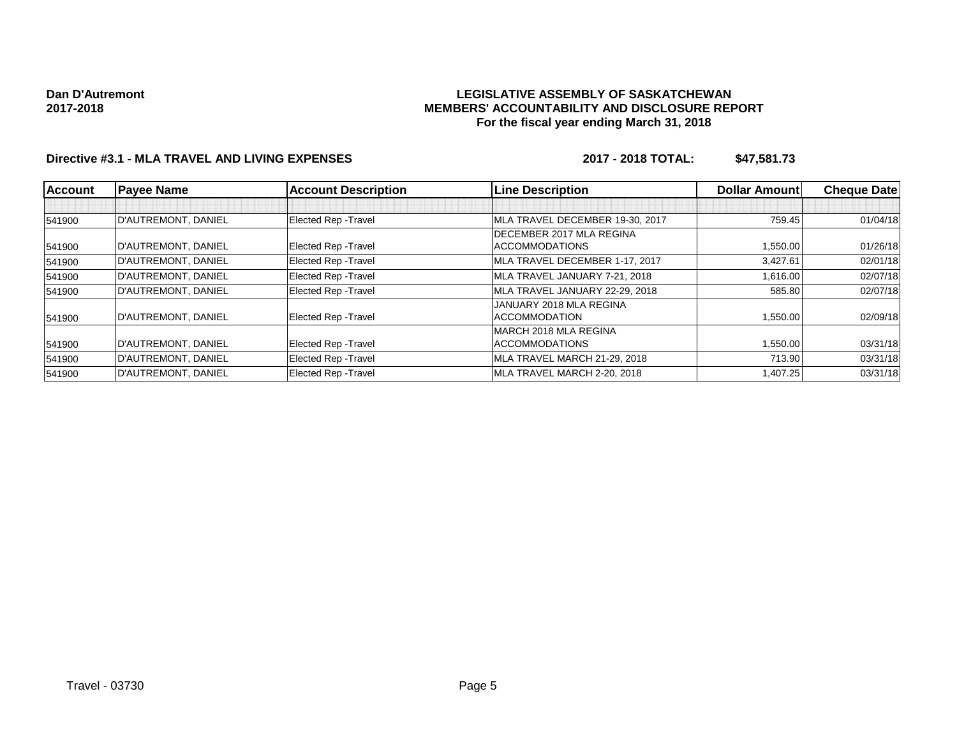#### **LEGISLATIVE ASSEMBLY OF SASKATCHEWAN MEMBERS' ACCOUNTABILITY AND DISCLOSURE REPORT For the fiscal year ending March 31, 2018**

## **Directive #3.1 - MLA TRAVEL AND LIVING EXPENSES 2017 - 2018 TOTAL: \$47,581.73**

| <b>Account</b> | <b>Payee Name</b>   | <b>Account Description</b>  | <b>Line Description</b>         | <b>Dollar Amountl</b> | <b>Cheque Datel</b> |
|----------------|---------------------|-----------------------------|---------------------------------|-----------------------|---------------------|
|                |                     |                             |                                 |                       |                     |
| 541900         | D'AUTREMONT, DANIEL | Elected Rep - Travel        | MLA TRAVEL DECEMBER 19-30, 2017 | 759.45                | 01/04/18            |
|                |                     |                             | DECEMBER 2017 MLA REGINA        |                       |                     |
| 541900         | D'AUTREMONT, DANIEL | Elected Rep - Travel        | <b>ACCOMMODATIONS</b>           | 1,550.00              | 01/26/18            |
| 541900         | D'AUTREMONT, DANIEL | <b>Elected Rep - Travel</b> | MLA TRAVEL DECEMBER 1-17, 2017  | 3,427.61              | 02/01/18            |
| 541900         | D'AUTREMONT, DANIEL | Elected Rep - Travel        | MLA TRAVEL JANUARY 7-21, 2018   | 1,616.00              | 02/07/18            |
| 541900         | D'AUTREMONT, DANIEL | <b>Elected Rep - Travel</b> | MLA TRAVEL JANUARY 22-29, 2018  | 585.80                | 02/07/18            |
|                |                     |                             | JANUARY 2018 MLA REGINA         |                       |                     |
| 541900         | D'AUTREMONT, DANIEL | Elected Rep - Travel        | <b>ACCOMMODATION</b>            | 1,550.00              | 02/09/18            |
|                |                     |                             | MARCH 2018 MLA REGINA           |                       |                     |
| 541900         | D'AUTREMONT, DANIEL | <b>Elected Rep - Travel</b> | <b>ACCOMMODATIONS</b>           | 1,550.00              | 03/31/18            |
| 541900         | D'AUTREMONT, DANIEL | Elected Rep - Travel        | MLA TRAVEL MARCH 21-29, 2018    | 713.90                | 03/31/18            |
| 541900         | D'AUTREMONT, DANIEL | <b>Elected Rep - Travel</b> | MLA TRAVEL MARCH 2-20, 2018     | 1,407.25              | 03/31/18            |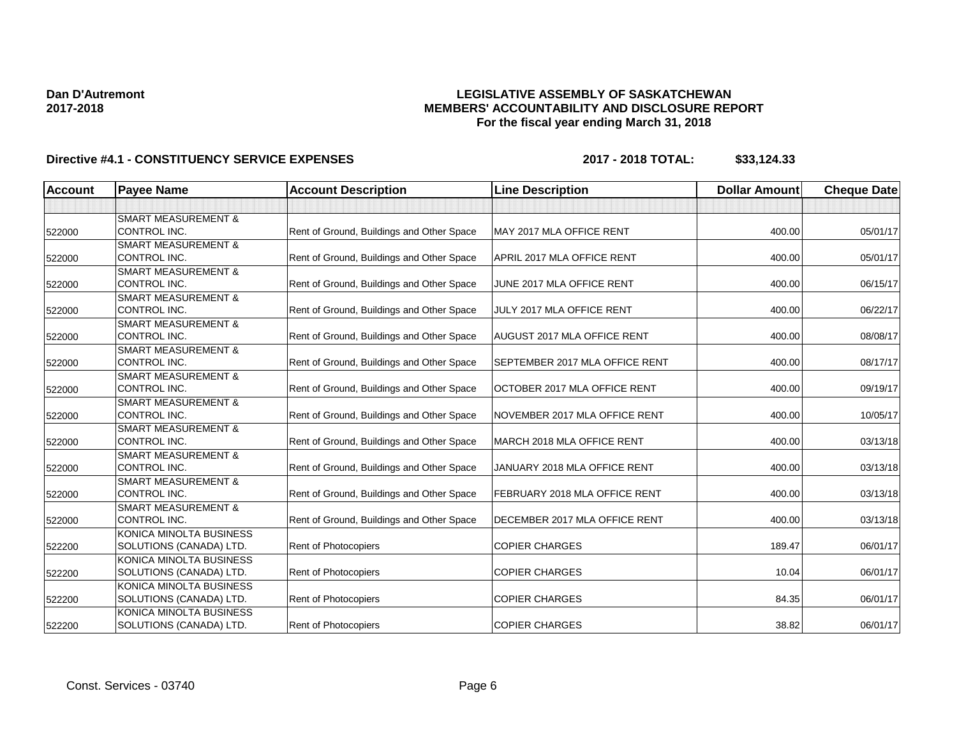### **LEGISLATIVE ASSEMBLY OF SASKATCHEWAN MEMBERS' ACCOUNTABILITY AND DISCLOSURE REPORT For the fiscal year ending March 31, 2018**

| <b>Account</b> | <b>Payee Name</b>              | <b>Account Description</b>                | <b>Line Description</b>        | <b>Dollar Amount</b> | <b>Cheque Date</b> |
|----------------|--------------------------------|-------------------------------------------|--------------------------------|----------------------|--------------------|
|                |                                |                                           |                                |                      |                    |
|                | <b>SMART MEASUREMENT &amp;</b> |                                           |                                |                      |                    |
| 522000         | CONTROL INC.                   | Rent of Ground, Buildings and Other Space | MAY 2017 MLA OFFICE RENT       | 400.00               | 05/01/17           |
|                | <b>SMART MEASUREMENT &amp;</b> |                                           |                                |                      |                    |
| 522000         | <b>CONTROL INC.</b>            | Rent of Ground, Buildings and Other Space | APRIL 2017 MLA OFFICE RENT     | 400.00               | 05/01/17           |
|                | <b>SMART MEASUREMENT &amp;</b> |                                           |                                |                      |                    |
| 522000         | <b>CONTROL INC.</b>            | Rent of Ground, Buildings and Other Space | JUNE 2017 MLA OFFICE RENT      | 400.00               | 06/15/17           |
|                | <b>SMART MEASUREMENT &amp;</b> |                                           |                                |                      |                    |
| 522000         | CONTROL INC.                   | Rent of Ground, Buildings and Other Space | JULY 2017 MLA OFFICE RENT      | 400.00               | 06/22/17           |
|                | <b>SMART MEASUREMENT &amp;</b> |                                           |                                |                      |                    |
| 522000         | CONTROL INC.                   | Rent of Ground, Buildings and Other Space | AUGUST 2017 MLA OFFICE RENT    | 400.00               | 08/08/17           |
|                | <b>SMART MEASUREMENT &amp;</b> |                                           |                                |                      |                    |
| 522000         | CONTROL INC.                   | Rent of Ground, Buildings and Other Space | SEPTEMBER 2017 MLA OFFICE RENT | 400.00               | 08/17/17           |
|                | <b>SMART MEASUREMENT &amp;</b> |                                           |                                |                      |                    |
| 522000         | CONTROL INC.                   | Rent of Ground, Buildings and Other Space | OCTOBER 2017 MLA OFFICE RENT   | 400.00               | 09/19/17           |
|                | <b>SMART MEASUREMENT &amp;</b> |                                           |                                |                      |                    |
| 522000         | CONTROL INC.                   | Rent of Ground, Buildings and Other Space | NOVEMBER 2017 MLA OFFICE RENT  | 400.00               | 10/05/17           |
|                | <b>SMART MEASUREMENT &amp;</b> |                                           |                                |                      |                    |
| 522000         | <b>CONTROL INC.</b>            | Rent of Ground, Buildings and Other Space | MARCH 2018 MLA OFFICE RENT     | 400.00               | 03/13/18           |
|                | <b>SMART MEASUREMENT &amp;</b> |                                           |                                |                      |                    |
| 522000         | <b>CONTROL INC.</b>            | Rent of Ground, Buildings and Other Space | JANUARY 2018 MLA OFFICE RENT   | 400.00               | 03/13/18           |
|                | <b>SMART MEASUREMENT &amp;</b> |                                           |                                |                      |                    |
| 522000         | CONTROL INC.                   | Rent of Ground, Buildings and Other Space | FEBRUARY 2018 MLA OFFICE RENT  | 400.00               | 03/13/18           |
|                | <b>SMART MEASUREMENT &amp;</b> |                                           |                                |                      |                    |
| 522000         | CONTROL INC.                   | Rent of Ground, Buildings and Other Space | DECEMBER 2017 MLA OFFICE RENT  | 400.00               | 03/13/18           |
|                | KONICA MINOLTA BUSINESS        |                                           |                                |                      |                    |
| 522200         | SOLUTIONS (CANADA) LTD.        | Rent of Photocopiers                      | <b>COPIER CHARGES</b>          | 189.47               | 06/01/17           |
|                | KONICA MINOLTA BUSINESS        |                                           |                                |                      |                    |
| 522200         | SOLUTIONS (CANADA) LTD.        | Rent of Photocopiers                      | <b>COPIER CHARGES</b>          | 10.04                | 06/01/17           |
|                | KONICA MINOLTA BUSINESS        |                                           |                                |                      |                    |
| 522200         | SOLUTIONS (CANADA) LTD.        | Rent of Photocopiers                      | <b>COPIER CHARGES</b>          | 84.35                | 06/01/17           |
|                | KONICA MINOLTA BUSINESS        |                                           |                                |                      |                    |
| 522200         | SOLUTIONS (CANADA) LTD.        | Rent of Photocopiers                      | <b>COPIER CHARGES</b>          | 38.82                | 06/01/17           |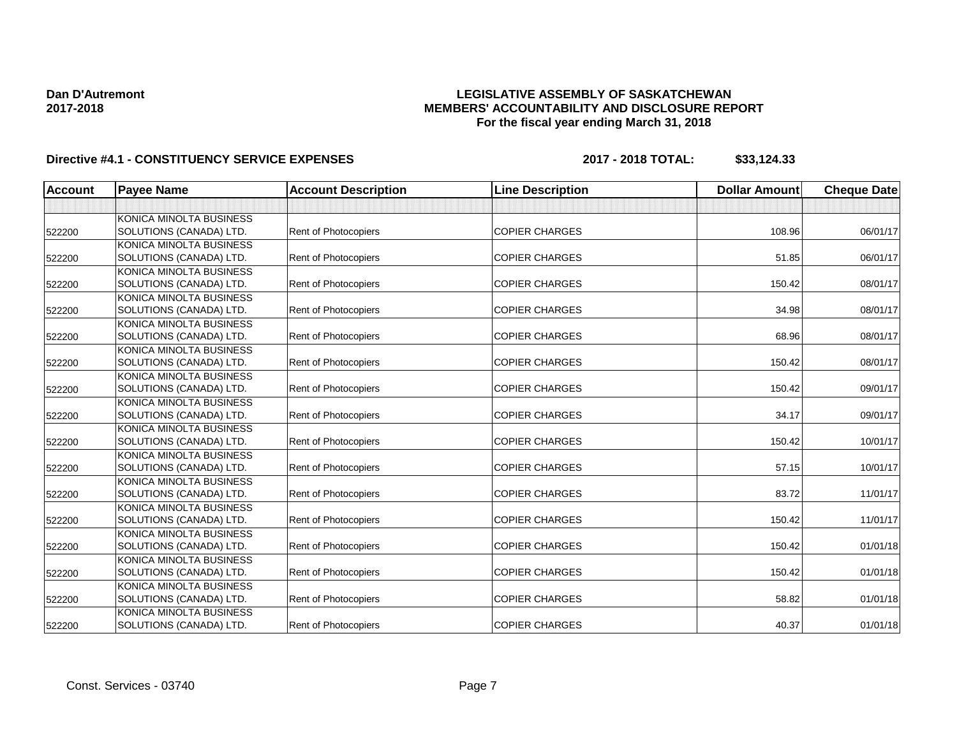### **LEGISLATIVE ASSEMBLY OF SASKATCHEWAN MEMBERS' ACCOUNTABILITY AND DISCLOSURE REPORT For the fiscal year ending March 31, 2018**

| Account | <b>Payee Name</b>              | <b>Account Description</b> | <b>Line Description</b> | <b>Dollar Amount</b> | <b>Cheque Date</b> |
|---------|--------------------------------|----------------------------|-------------------------|----------------------|--------------------|
|         |                                |                            |                         |                      |                    |
|         | <b>KONICA MINOLTA BUSINESS</b> |                            |                         |                      |                    |
| 522200  | SOLUTIONS (CANADA) LTD.        | Rent of Photocopiers       | <b>COPIER CHARGES</b>   | 108.96               | 06/01/17           |
|         | KONICA MINOLTA BUSINESS        |                            |                         |                      |                    |
| 522200  | SOLUTIONS (CANADA) LTD.        | Rent of Photocopiers       | <b>COPIER CHARGES</b>   | 51.85                | 06/01/17           |
|         | KONICA MINOLTA BUSINESS        |                            |                         |                      |                    |
| 522200  | SOLUTIONS (CANADA) LTD.        | Rent of Photocopiers       | <b>COPIER CHARGES</b>   | 150.42               | 08/01/17           |
|         | KONICA MINOLTA BUSINESS        |                            |                         |                      |                    |
| 522200  | SOLUTIONS (CANADA) LTD.        | Rent of Photocopiers       | <b>COPIER CHARGES</b>   | 34.98                | 08/01/17           |
|         | KONICA MINOLTA BUSINESS        |                            |                         |                      |                    |
| 522200  | SOLUTIONS (CANADA) LTD.        | Rent of Photocopiers       | <b>COPIER CHARGES</b>   | 68.96                | 08/01/17           |
|         | KONICA MINOLTA BUSINESS        |                            |                         |                      |                    |
| 522200  | SOLUTIONS (CANADA) LTD.        | Rent of Photocopiers       | <b>COPIER CHARGES</b>   | 150.42               | 08/01/17           |
|         | KONICA MINOLTA BUSINESS        |                            |                         |                      |                    |
| 522200  | SOLUTIONS (CANADA) LTD.        | Rent of Photocopiers       | <b>COPIER CHARGES</b>   | 150.42               | 09/01/17           |
|         | KONICA MINOLTA BUSINESS        |                            |                         |                      |                    |
| 522200  | SOLUTIONS (CANADA) LTD.        | Rent of Photocopiers       | <b>COPIER CHARGES</b>   | 34.17                | 09/01/17           |
|         | KONICA MINOLTA BUSINESS        |                            |                         |                      |                    |
| 522200  | SOLUTIONS (CANADA) LTD.        | Rent of Photocopiers       | <b>COPIER CHARGES</b>   | 150.42               | 10/01/17           |
|         | KONICA MINOLTA BUSINESS        |                            |                         |                      |                    |
| 522200  | SOLUTIONS (CANADA) LTD.        | Rent of Photocopiers       | <b>COPIER CHARGES</b>   | 57.15                | 10/01/17           |
|         | KONICA MINOLTA BUSINESS        |                            |                         |                      |                    |
| 522200  | SOLUTIONS (CANADA) LTD.        | Rent of Photocopiers       | <b>COPIER CHARGES</b>   | 83.72                | 11/01/17           |
|         | KONICA MINOLTA BUSINESS        |                            |                         |                      |                    |
| 522200  | SOLUTIONS (CANADA) LTD.        | Rent of Photocopiers       | <b>COPIER CHARGES</b>   | 150.42               | 11/01/17           |
|         | KONICA MINOLTA BUSINESS        |                            |                         |                      |                    |
| 522200  | SOLUTIONS (CANADA) LTD.        | Rent of Photocopiers       | <b>COPIER CHARGES</b>   | 150.42               | 01/01/18           |
|         | KONICA MINOLTA BUSINESS        |                            |                         |                      |                    |
| 522200  | SOLUTIONS (CANADA) LTD.        | Rent of Photocopiers       | <b>COPIER CHARGES</b>   | 150.42               | 01/01/18           |
|         | KONICA MINOLTA BUSINESS        |                            |                         |                      |                    |
| 522200  | SOLUTIONS (CANADA) LTD.        | Rent of Photocopiers       | <b>COPIER CHARGES</b>   | 58.82                | 01/01/18           |
|         | KONICA MINOLTA BUSINESS        |                            |                         |                      |                    |
| 522200  | SOLUTIONS (CANADA) LTD.        | Rent of Photocopiers       | <b>COPIER CHARGES</b>   | 40.37                | 01/01/18           |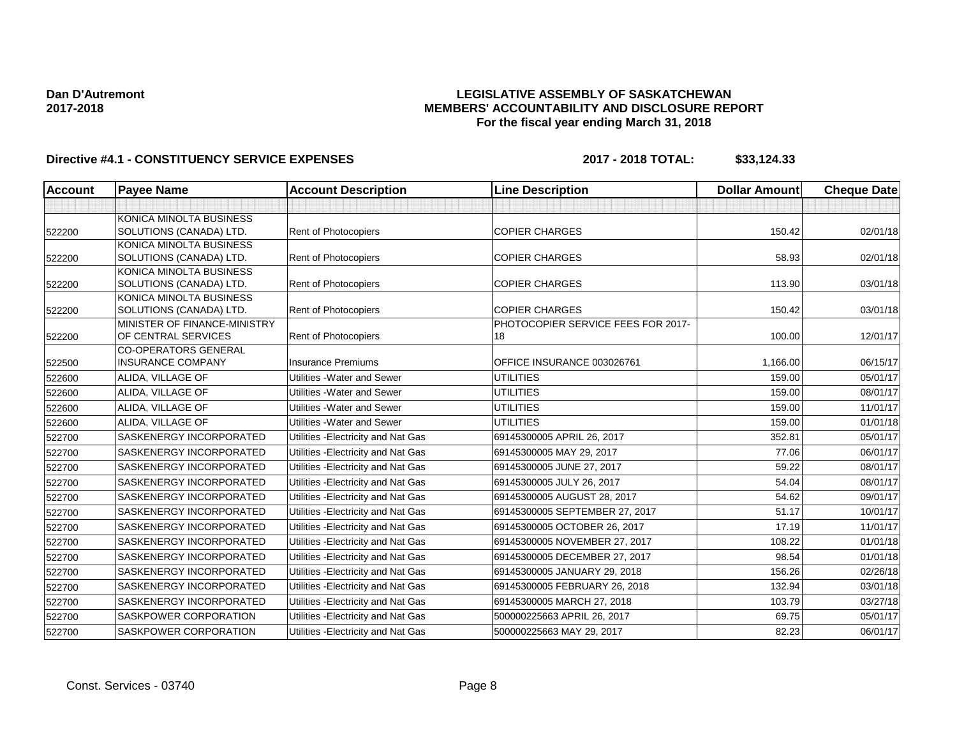### **LEGISLATIVE ASSEMBLY OF SASKATCHEWAN MEMBERS' ACCOUNTABILITY AND DISCLOSURE REPORT For the fiscal year ending March 31, 2018**

| <b>Account</b> | <b>Payee Name</b>                                   | <b>Account Description</b>          | <b>Line Description</b>                  | <b>Dollar Amount</b> | <b>Cheque Date</b> |
|----------------|-----------------------------------------------------|-------------------------------------|------------------------------------------|----------------------|--------------------|
|                |                                                     |                                     |                                          |                      |                    |
|                | KONICA MINOLTA BUSINESS                             |                                     |                                          |                      |                    |
| 522200         | SOLUTIONS (CANADA) LTD.                             | Rent of Photocopiers                | <b>COPIER CHARGES</b>                    | 150.42               | 02/01/18           |
|                | KONICA MINOLTA BUSINESS                             |                                     |                                          |                      |                    |
| 522200         | SOLUTIONS (CANADA) LTD.                             | Rent of Photocopiers                | <b>COPIER CHARGES</b>                    | 58.93                | 02/01/18           |
|                | KONICA MINOLTA BUSINESS                             |                                     |                                          |                      |                    |
| 522200         | SOLUTIONS (CANADA) LTD.                             | Rent of Photocopiers                | <b>COPIER CHARGES</b>                    | 113.90               | 03/01/18           |
|                | KONICA MINOLTA BUSINESS                             |                                     |                                          |                      |                    |
| 522200         | SOLUTIONS (CANADA) LTD.                             | Rent of Photocopiers                | <b>COPIER CHARGES</b>                    | 150.42               | 03/01/18           |
|                | MINISTER OF FINANCE-MINISTRY<br>OF CENTRAL SERVICES | <b>Rent of Photocopiers</b>         | PHOTOCOPIER SERVICE FEES FOR 2017-<br>18 | 100.00               | 12/01/17           |
| 522200         | <b>CO-OPERATORS GENERAL</b>                         |                                     |                                          |                      |                    |
| 522500         | <b>INSURANCE COMPANY</b>                            | <b>Insurance Premiums</b>           | OFFICE INSURANCE 003026761               | 1,166.00             | 06/15/17           |
| 522600         | ALIDA, VILLAGE OF                                   | Utilities - Water and Sewer         | <b>UTILITIES</b>                         | 159.00               | 05/01/17           |
| 522600         | ALIDA, VILLAGE OF                                   | Utilities - Water and Sewer         | <b>UTILITIES</b>                         | 159.00               | 08/01/17           |
| 522600         | ALIDA, VILLAGE OF                                   | Utilities - Water and Sewer         | <b>UTILITIES</b>                         | 159.00               | 11/01/17           |
| 522600         | ALIDA, VILLAGE OF                                   | Utilities - Water and Sewer         | <b>UTILITIES</b>                         | 159.00               | 01/01/18           |
| 522700         | SASKENERGY INCORPORATED                             | Utilities - Electricity and Nat Gas | 69145300005 APRIL 26, 2017               | 352.81               | 05/01/17           |
| 522700         | SASKENERGY INCORPORATED                             | Utilities - Electricity and Nat Gas | 69145300005 MAY 29, 2017                 | 77.06                | 06/01/17           |
| 522700         | <b>SASKENERGY INCORPORATED</b>                      | Utilities - Electricity and Nat Gas | 69145300005 JUNE 27, 2017                | 59.22                | 08/01/17           |
| 522700         | SASKENERGY INCORPORATED                             | Utilities - Electricity and Nat Gas | 69145300005 JULY 26, 2017                | 54.04                | 08/01/17           |
| 522700         | <b>SASKENERGY INCORPORATED</b>                      | Utilities - Electricity and Nat Gas | 69145300005 AUGUST 28, 2017              | 54.62                | 09/01/17           |
| 522700         | SASKENERGY INCORPORATED                             | Utilities - Electricity and Nat Gas | 69145300005 SEPTEMBER 27, 2017           | 51.17                | 10/01/17           |
| 522700         | <b>SASKENERGY INCORPORATED</b>                      | Utilities - Electricity and Nat Gas | 69145300005 OCTOBER 26, 2017             | 17.19                | 11/01/17           |
| 522700         | SASKENERGY INCORPORATED                             | Utilities - Electricity and Nat Gas | 69145300005 NOVEMBER 27, 2017            | 108.22               | 01/01/18           |
| 522700         | <b>SASKENERGY INCORPORATED</b>                      | Utilities - Electricity and Nat Gas | 69145300005 DECEMBER 27, 2017            | 98.54                | 01/01/18           |
| 522700         | <b>SASKENERGY INCORPORATED</b>                      | Utilities - Electricity and Nat Gas | 69145300005 JANUARY 29, 2018             | 156.26               | 02/26/18           |
| 522700         | SASKENERGY INCORPORATED                             | Utilities - Electricity and Nat Gas | 69145300005 FEBRUARY 26, 2018            | 132.94               | 03/01/18           |
| 522700         | SASKENERGY INCORPORATED                             | Utilities - Electricity and Nat Gas | 69145300005 MARCH 27, 2018               | 103.79               | 03/27/18           |
| 522700         | SASKPOWER CORPORATION                               | Utilities - Electricity and Nat Gas | 500000225663 APRIL 26, 2017              | 69.75                | 05/01/17           |
| 522700         | <b>SASKPOWER CORPORATION</b>                        | Utilities - Electricity and Nat Gas | 500000225663 MAY 29, 2017                | 82.23                | 06/01/17           |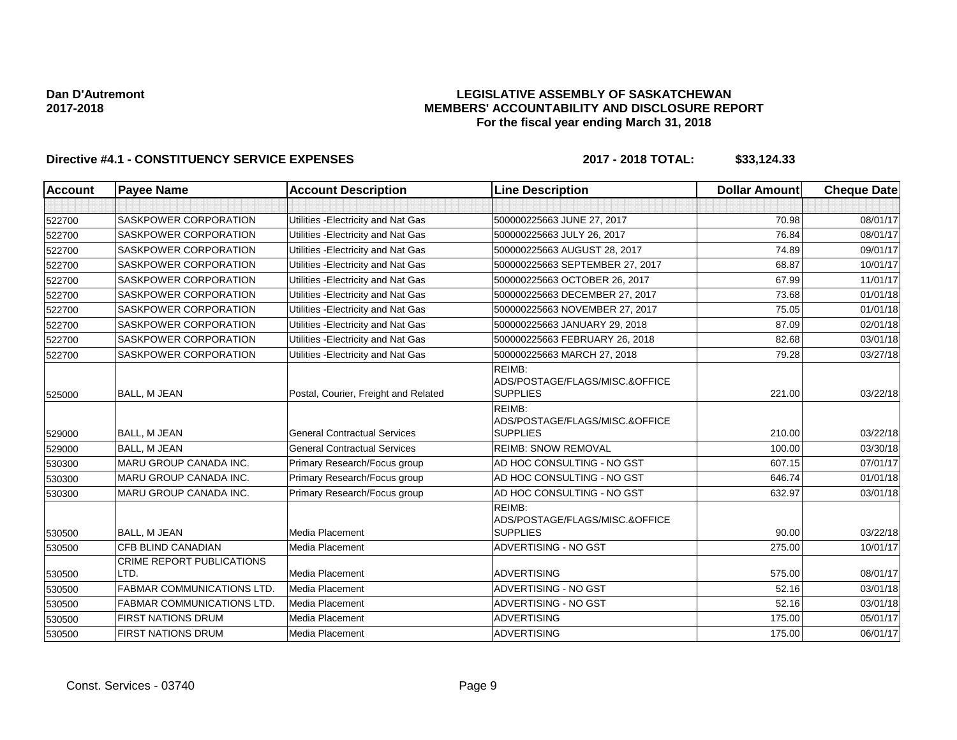### **LEGISLATIVE ASSEMBLY OF SASKATCHEWAN MEMBERS' ACCOUNTABILITY AND DISCLOSURE REPORT For the fiscal year ending March 31, 2018**

| <b>Account</b> | <b>Payee Name</b>                        | <b>Account Description</b>           | <b>Line Description</b>                                     | <b>Dollar Amount</b> | <b>Cheque Date</b> |
|----------------|------------------------------------------|--------------------------------------|-------------------------------------------------------------|----------------------|--------------------|
|                |                                          |                                      |                                                             |                      |                    |
| 522700         | <b>SASKPOWER CORPORATION</b>             | Utilities - Electricity and Nat Gas  | 500000225663 JUNE 27, 2017                                  | 70.98                | 08/01/17           |
| 522700         | <b>SASKPOWER CORPORATION</b>             | Utilities - Electricity and Nat Gas  | 500000225663 JULY 26, 2017                                  | 76.84                | 08/01/17           |
| 522700         | <b>SASKPOWER CORPORATION</b>             | Utilities - Electricity and Nat Gas  | 500000225663 AUGUST 28, 2017                                | 74.89                | 09/01/17           |
| 522700         | <b>SASKPOWER CORPORATION</b>             | Utilities - Electricity and Nat Gas  | 500000225663 SEPTEMBER 27, 2017                             | 68.87                | 10/01/17           |
| 522700         | SASKPOWER CORPORATION                    | Utilities - Electricity and Nat Gas  | 500000225663 OCTOBER 26, 2017                               | 67.99                | 11/01/17           |
| 522700         | <b>SASKPOWER CORPORATION</b>             | Utilities - Electricity and Nat Gas  | 500000225663 DECEMBER 27, 2017                              | 73.68                | 01/01/18           |
| 522700         | SASKPOWER CORPORATION                    | Utilities - Electricity and Nat Gas  | 500000225663 NOVEMBER 27, 2017                              | 75.05                | 01/01/18           |
| 522700         | <b>SASKPOWER CORPORATION</b>             | Utilities - Electricity and Nat Gas  | 500000225663 JANUARY 29, 2018                               | 87.09                | 02/01/18           |
| 522700         | <b>SASKPOWER CORPORATION</b>             | Utilities - Electricity and Nat Gas  | 500000225663 FEBRUARY 26, 2018                              | 82.68                | 03/01/18           |
| 522700         | <b>SASKPOWER CORPORATION</b>             | Utilities - Electricity and Nat Gas  | 500000225663 MARCH 27, 2018                                 | 79.28                | 03/27/18           |
| 525000         | <b>BALL, M JEAN</b>                      | Postal, Courier, Freight and Related | REIMB:<br>ADS/POSTAGE/FLAGS/MISC.&OFFICE<br><b>SUPPLIES</b> | 221.00               | 03/22/18           |
| 529000         | <b>BALL, M JEAN</b>                      | <b>General Contractual Services</b>  | REIMB:<br>ADS/POSTAGE/FLAGS/MISC.&OFFICE<br><b>SUPPLIES</b> | 210.00               | 03/22/18           |
| 529000         | <b>BALL, M JEAN</b>                      | <b>General Contractual Services</b>  | <b>REIMB: SNOW REMOVAL</b>                                  | 100.00               | 03/30/18           |
| 530300         | MARU GROUP CANADA INC.                   | Primary Research/Focus group         | AD HOC CONSULTING - NO GST                                  | 607.15               | 07/01/17           |
| 530300         | <b>MARU GROUP CANADA INC.</b>            | Primary Research/Focus group         | AD HOC CONSULTING - NO GST                                  | 646.74               | 01/01/18           |
| 530300         | <b>MARU GROUP CANADA INC.</b>            | Primary Research/Focus group         | AD HOC CONSULTING - NO GST                                  | 632.97               | 03/01/18           |
| 530500         | <b>BALL, M JEAN</b>                      | <b>Media Placement</b>               | REIMB:<br>ADS/POSTAGE/FLAGS/MISC.&OFFICE<br><b>SUPPLIES</b> | 90.00                | 03/22/18           |
| 530500         | CFB BLIND CANADIAN                       | Media Placement                      | ADVERTISING - NO GST                                        | 275.00               | 10/01/17           |
| 530500         | <b>CRIME REPORT PUBLICATIONS</b><br>LTD. | Media Placement                      | <b>ADVERTISING</b>                                          | 575.00               | 08/01/17           |
| 530500         | <b>FABMAR COMMUNICATIONS LTD</b>         | Media Placement                      | ADVERTISING - NO GST                                        | 52.16                | 03/01/18           |
| 530500         | <b>FABMAR COMMUNICATIONS LTD.</b>        | Media Placement                      | ADVERTISING - NO GST                                        | 52.16                | 03/01/18           |
| 530500         | <b>FIRST NATIONS DRUM</b>                | <b>Media Placement</b>               | <b>ADVERTISING</b>                                          | 175.00               | 05/01/17           |
| 530500         | <b>FIRST NATIONS DRUM</b>                | Media Placement                      | <b>ADVERTISING</b>                                          | 175.00               | 06/01/17           |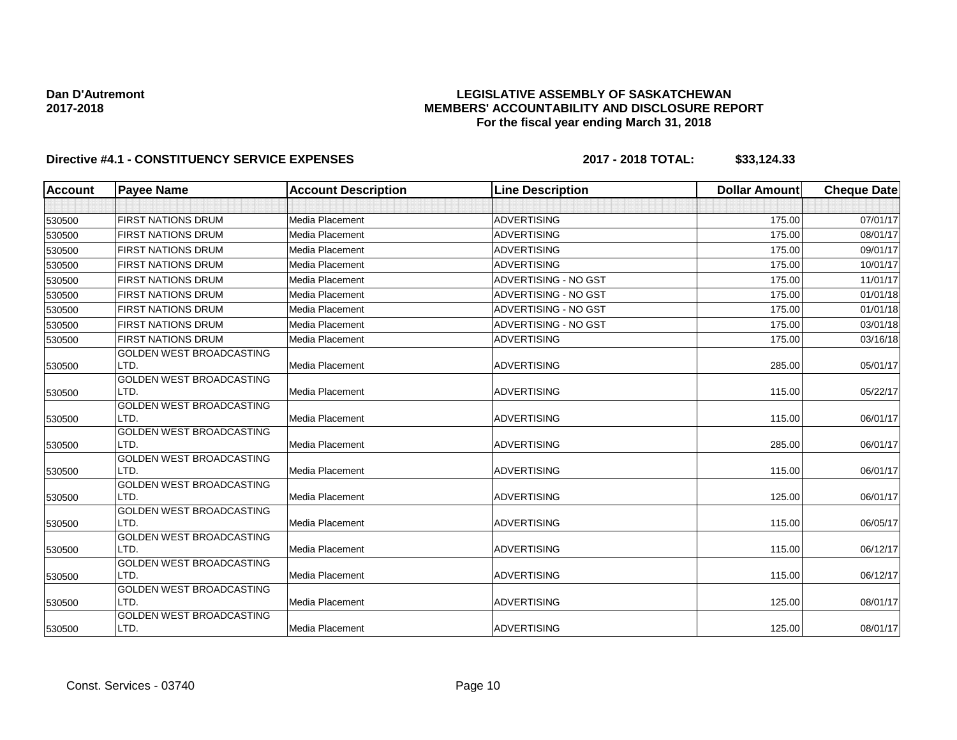### **LEGISLATIVE ASSEMBLY OF SASKATCHEWAN MEMBERS' ACCOUNTABILITY AND DISCLOSURE REPORT For the fiscal year ending March 31, 2018**

| <b>Account</b> | <b>Payee Name</b>                       | <b>Account Description</b> | <b>Line Description</b> | <b>Dollar Amount</b> | <b>Cheque Date</b> |
|----------------|-----------------------------------------|----------------------------|-------------------------|----------------------|--------------------|
|                |                                         |                            |                         |                      |                    |
| 530500         | <b>FIRST NATIONS DRUM</b>               | Media Placement            | <b>ADVERTISING</b>      | 175.00               | 07/01/17           |
| 530500         | <b>FIRST NATIONS DRUM</b>               | Media Placement            | <b>ADVERTISING</b>      | 175.00               | 08/01/17           |
| 530500         | <b>FIRST NATIONS DRUM</b>               | Media Placement            | <b>ADVERTISING</b>      | 175.00               | 09/01/17           |
| 530500         | <b>FIRST NATIONS DRUM</b>               | Media Placement            | <b>ADVERTISING</b>      | 175.00               | 10/01/17           |
| 530500         | <b>FIRST NATIONS DRUM</b>               | Media Placement            | ADVERTISING - NO GST    | 175.00               | 11/01/17           |
| 530500         | <b>FIRST NATIONS DRUM</b>               | Media Placement            | ADVERTISING - NO GST    | 175.00               | 01/01/18           |
| 530500         | <b>FIRST NATIONS DRUM</b>               | Media Placement            | ADVERTISING - NO GST    | 175.00               | 01/01/18           |
| 530500         | <b>FIRST NATIONS DRUM</b>               | Media Placement            | ADVERTISING - NO GST    | 175.00               | 03/01/18           |
| 530500         | <b>FIRST NATIONS DRUM</b>               | Media Placement            | <b>ADVERTISING</b>      | 175.00               | 03/16/18           |
| 530500         | GOLDEN WEST BROADCASTING<br>LTD.        | Media Placement            | <b>ADVERTISING</b>      | 285.00               | 05/01/17           |
| 530500         | GOLDEN WEST BROADCASTING<br>LTD.        | Media Placement            | <b>ADVERTISING</b>      | 115.00               | 05/22/17           |
| 530500         | <b>GOLDEN WEST BROADCASTING</b><br>LTD. | Media Placement            | <b>ADVERTISING</b>      | 115.00               | 06/01/17           |
| 530500         | GOLDEN WEST BROADCASTING<br>LTD.        | Media Placement            | <b>ADVERTISING</b>      | 285.00               | 06/01/17           |
| 530500         | <b>GOLDEN WEST BROADCASTING</b><br>LTD. | Media Placement            | <b>ADVERTISING</b>      | 115.00               | 06/01/17           |
| 530500         | GOLDEN WEST BROADCASTING<br>LTD.        | Media Placement            | <b>ADVERTISING</b>      | 125.00               | 06/01/17           |
| 530500         | GOLDEN WEST BROADCASTING<br>LTD.        | Media Placement            | <b>ADVERTISING</b>      | 115.00               | 06/05/17           |
| 530500         | <b>GOLDEN WEST BROADCASTING</b><br>LTD. | Media Placement            | <b>ADVERTISING</b>      | 115.00               | 06/12/17           |
| 530500         | GOLDEN WEST BROADCASTING<br>LTD.        | Media Placement            | <b>ADVERTISING</b>      | 115.00               | 06/12/17           |
| 530500         | <b>GOLDEN WEST BROADCASTING</b><br>LTD. | Media Placement            | <b>ADVERTISING</b>      | 125.00               | 08/01/17           |
| 530500         | <b>GOLDEN WEST BROADCASTING</b><br>LTD. | Media Placement            | <b>ADVERTISING</b>      | 125.00               | 08/01/17           |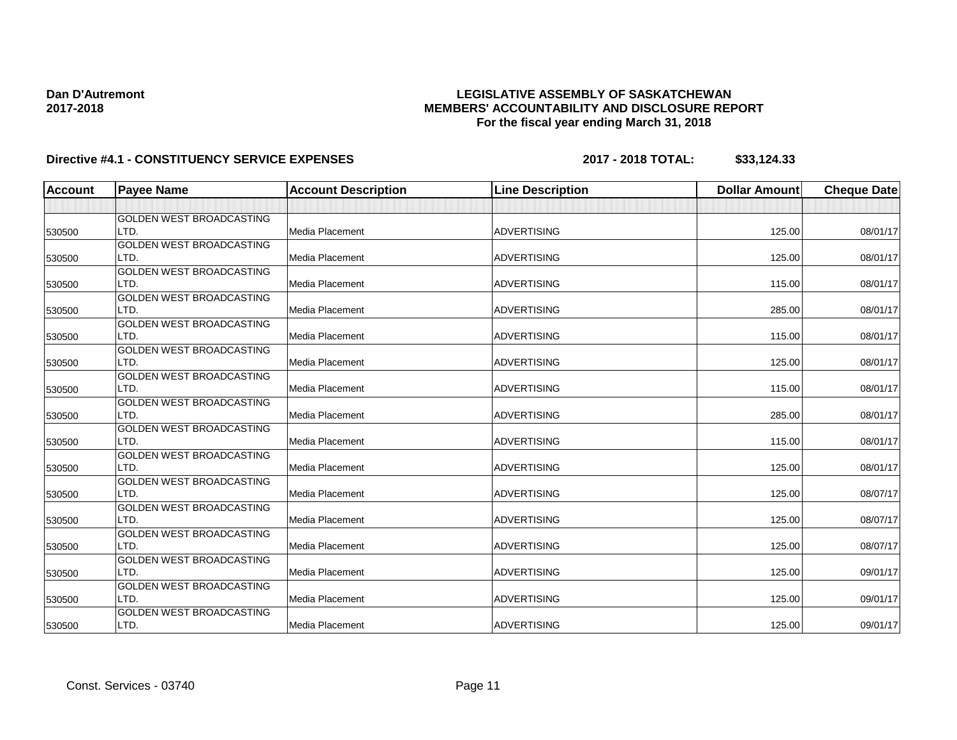### **LEGISLATIVE ASSEMBLY OF SASKATCHEWAN MEMBERS' ACCOUNTABILITY AND DISCLOSURE REPORT For the fiscal year ending March 31, 2018**

| <b>Account</b> | <b>Payee Name</b>               | <b>Account Description</b> | <b>Line Description</b> | <b>Dollar Amount</b> | <b>Cheque Date</b> |
|----------------|---------------------------------|----------------------------|-------------------------|----------------------|--------------------|
|                |                                 |                            |                         |                      |                    |
|                | <b>GOLDEN WEST BROADCASTING</b> |                            |                         |                      |                    |
| 530500         | LTD.                            | <b>Media Placement</b>     | <b>ADVERTISING</b>      | 125.00               | 08/01/17           |
|                | <b>GOLDEN WEST BROADCASTING</b> |                            |                         |                      |                    |
| 530500         | LTD.                            | Media Placement            | <b>ADVERTISING</b>      | 125.00               | 08/01/17           |
|                | <b>GOLDEN WEST BROADCASTING</b> |                            |                         |                      |                    |
| 530500         | LTD.                            | Media Placement            | <b>ADVERTISING</b>      | 115.00               | 08/01/17           |
|                | GOLDEN WEST BROADCASTING        |                            |                         |                      |                    |
| 530500         | LTD.                            | <b>Media Placement</b>     | <b>ADVERTISING</b>      | 285.00               | 08/01/17           |
|                | GOLDEN WEST BROADCASTING        |                            |                         |                      |                    |
| 530500         | LTD.                            | <b>Media Placement</b>     | <b>ADVERTISING</b>      | 115.00               | 08/01/17           |
|                | <b>GOLDEN WEST BROADCASTING</b> |                            |                         |                      |                    |
| 530500         | LTD.                            | <b>Media Placement</b>     | <b>ADVERTISING</b>      | 125.00               | 08/01/17           |
|                | <b>GOLDEN WEST BROADCASTING</b> |                            |                         |                      |                    |
| 530500         | LTD.                            | Media Placement            | <b>ADVERTISING</b>      | 115.00               | 08/01/17           |
|                | GOLDEN WEST BROADCASTING        |                            |                         |                      |                    |
| 530500         | LTD.                            | Media Placement            | <b>ADVERTISING</b>      | 285.00               | 08/01/17           |
|                | GOLDEN WEST BROADCASTING        |                            |                         |                      |                    |
| 530500         | LTD.                            | Media Placement            | <b>ADVERTISING</b>      | 115.00               | 08/01/17           |
|                | <b>GOLDEN WEST BROADCASTING</b> |                            |                         |                      |                    |
| 530500         | LTD.                            | Media Placement            | <b>ADVERTISING</b>      | 125.00               | 08/01/17           |
|                | GOLDEN WEST BROADCASTING        |                            |                         |                      |                    |
| 530500         | LTD.                            | <b>Media Placement</b>     | <b>ADVERTISING</b>      | 125.00               | 08/07/17           |
|                | <b>GOLDEN WEST BROADCASTING</b> |                            |                         |                      |                    |
| 530500         | LTD.                            | Media Placement            | <b>ADVERTISING</b>      | 125.00               | 08/07/17           |
|                | <b>GOLDEN WEST BROADCASTING</b> |                            |                         |                      |                    |
| 530500         | LTD.                            | Media Placement            | <b>ADVERTISING</b>      | 125.00               | 08/07/17           |
|                | GOLDEN WEST BROADCASTING        |                            |                         |                      |                    |
| 530500         | LTD.                            | Media Placement            | <b>ADVERTISING</b>      | 125.00               | 09/01/17           |
|                | GOLDEN WEST BROADCASTING        |                            |                         |                      |                    |
| 530500         | LTD.                            | Media Placement            | <b>ADVERTISING</b>      | 125.00               | 09/01/17           |
|                | <b>GOLDEN WEST BROADCASTING</b> |                            |                         |                      |                    |
| 530500         | LTD.                            | <b>Media Placement</b>     | <b>ADVERTISING</b>      | 125.00               | 09/01/17           |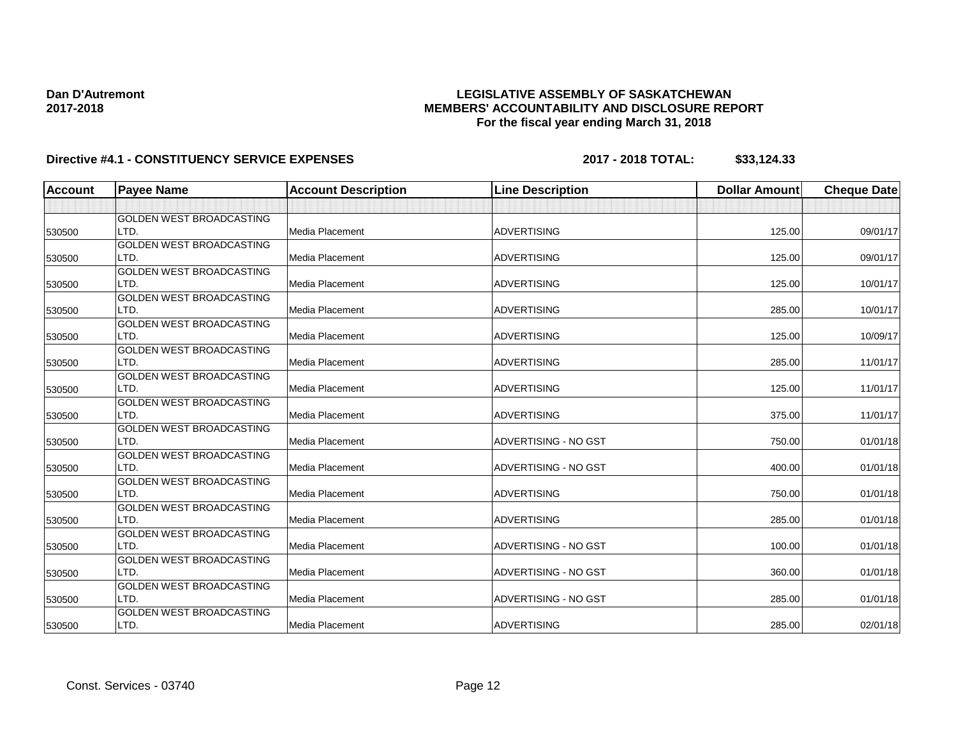### **LEGISLATIVE ASSEMBLY OF SASKATCHEWAN MEMBERS' ACCOUNTABILITY AND DISCLOSURE REPORT For the fiscal year ending March 31, 2018**

| <b>Account</b> | <b>Payee Name</b>               | <b>Account Description</b> | <b>Line Description</b> | <b>Dollar Amount</b> | <b>Cheque Date</b> |
|----------------|---------------------------------|----------------------------|-------------------------|----------------------|--------------------|
|                |                                 |                            |                         |                      |                    |
|                | <b>GOLDEN WEST BROADCASTING</b> |                            |                         |                      |                    |
| 530500         | LTD.                            | <b>Media Placement</b>     | <b>ADVERTISING</b>      | 125.00               | 09/01/17           |
|                | <b>GOLDEN WEST BROADCASTING</b> |                            |                         |                      |                    |
| 530500         | LTD.                            | <b>Media Placement</b>     | <b>ADVERTISING</b>      | 125.00               | 09/01/17           |
|                | <b>GOLDEN WEST BROADCASTING</b> |                            |                         |                      |                    |
| 530500         | LTD.                            | <b>Media Placement</b>     | <b>ADVERTISING</b>      | 125.00               | 10/01/17           |
|                | GOLDEN WEST BROADCASTING        |                            |                         |                      |                    |
| 530500         | LTD.                            | <b>Media Placement</b>     | <b>ADVERTISING</b>      | 285.00               | 10/01/17           |
|                | GOLDEN WEST BROADCASTING        |                            |                         |                      |                    |
| 530500         | LTD.                            | <b>Media Placement</b>     | <b>ADVERTISING</b>      | 125.00               | 10/09/17           |
|                | <b>GOLDEN WEST BROADCASTING</b> |                            |                         |                      |                    |
| 530500         | LTD.                            | Media Placement            | <b>ADVERTISING</b>      | 285.00               | 11/01/17           |
|                | <b>GOLDEN WEST BROADCASTING</b> |                            |                         |                      |                    |
| 530500         | LTD.                            | <b>Media Placement</b>     | <b>ADVERTISING</b>      | 125.00               | 11/01/17           |
|                | GOLDEN WEST BROADCASTING        |                            |                         |                      |                    |
| 530500         | LTD.                            | <b>Media Placement</b>     | <b>ADVERTISING</b>      | 375.00               | 11/01/17           |
|                | <b>GOLDEN WEST BROADCASTING</b> |                            |                         |                      |                    |
| 530500         | LTD.                            | Media Placement            | ADVERTISING - NO GST    | 750.00               | 01/01/18           |
|                | <b>GOLDEN WEST BROADCASTING</b> |                            |                         |                      |                    |
| 530500         | LTD.                            | Media Placement            | ADVERTISING - NO GST    | 400.00               | 01/01/18           |
|                | GOLDEN WEST BROADCASTING        |                            |                         |                      |                    |
| 530500         | LTD.                            | <b>Media Placement</b>     | <b>ADVERTISING</b>      | 750.00               | 01/01/18           |
|                | <b>GOLDEN WEST BROADCASTING</b> |                            |                         |                      |                    |
| 530500         | LTD.                            | Media Placement            | <b>ADVERTISING</b>      | 285.00               | 01/01/18           |
|                | <b>GOLDEN WEST BROADCASTING</b> |                            |                         |                      |                    |
| 530500         | LTD.                            | Media Placement            | ADVERTISING - NO GST    | 100.00               | 01/01/18           |
|                | GOLDEN WEST BROADCASTING        |                            |                         |                      |                    |
| 530500         | LTD.                            | Media Placement            | ADVERTISING - NO GST    | 360.00               | 01/01/18           |
|                | GOLDEN WEST BROADCASTING        |                            |                         |                      |                    |
| 530500         | LTD.                            | Media Placement            | ADVERTISING - NO GST    | 285.00               | 01/01/18           |
|                | GOLDEN WEST BROADCASTING        |                            |                         |                      |                    |
| 530500         | LTD.                            | <b>Media Placement</b>     | <b>ADVERTISING</b>      | 285.00               | 02/01/18           |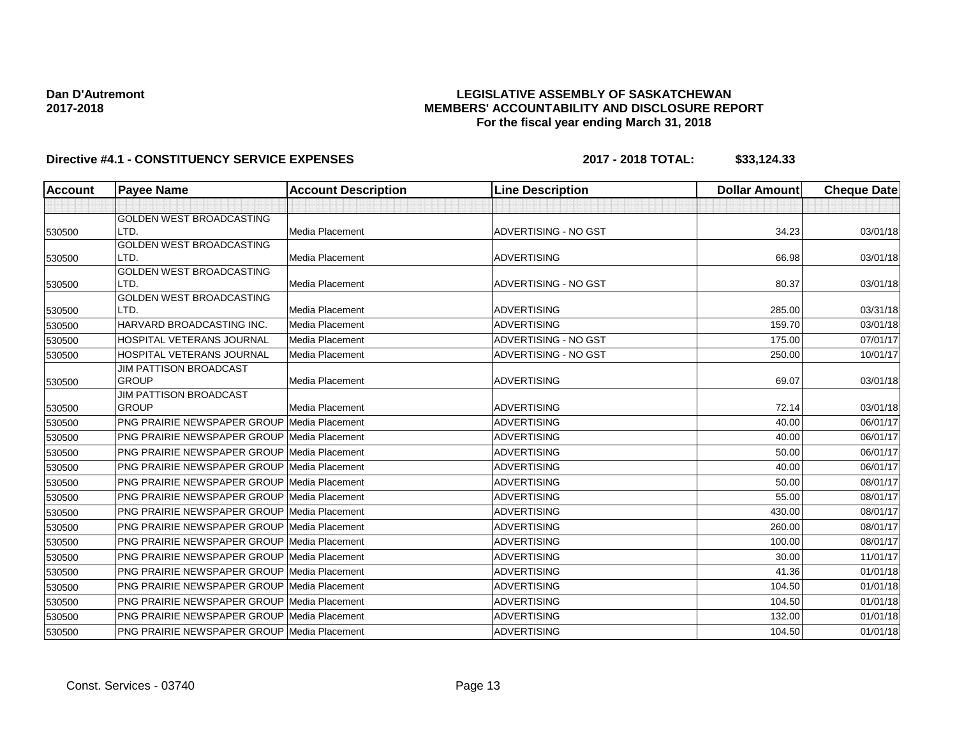### **LEGISLATIVE ASSEMBLY OF SASKATCHEWAN MEMBERS' ACCOUNTABILITY AND DISCLOSURE REPORT For the fiscal year ending March 31, 2018**

| <b>Account</b> | <b>Payee Name</b>                                  | <b>Account Description</b> | <b>Line Description</b> | <b>Dollar Amount</b> | <b>Cheque Date</b> |
|----------------|----------------------------------------------------|----------------------------|-------------------------|----------------------|--------------------|
|                |                                                    |                            |                         |                      |                    |
|                | <b>GOLDEN WEST BROADCASTING</b>                    |                            |                         |                      |                    |
| 530500         | LTD.                                               | Media Placement            | ADVERTISING - NO GST    | 34.23                | 03/01/18           |
|                | GOLDEN WEST BROADCASTING                           |                            |                         |                      |                    |
| 530500         | LTD.                                               | Media Placement            | <b>ADVERTISING</b>      | 66.98                | 03/01/18           |
| 530500         | GOLDEN WEST BROADCASTING<br>LTD.                   | <b>Media Placement</b>     | ADVERTISING - NO GST    | 80.37                | 03/01/18           |
|                | <b>GOLDEN WEST BROADCASTING</b>                    |                            |                         |                      |                    |
| 530500         | LTD.                                               | <b>Media Placement</b>     | <b>ADVERTISING</b>      | 285.00               | 03/31/18           |
| 530500         | HARVARD BROADCASTING INC.                          | Media Placement            | <b>ADVERTISING</b>      | 159.70               | 03/01/18           |
| 530500         | HOSPITAL VETERANS JOURNAL                          | Media Placement            | ADVERTISING - NO GST    | 175.00               | 07/01/17           |
| 530500         | HOSPITAL VETERANS JOURNAL                          | Media Placement            | ADVERTISING - NO GST    | 250.00               | 10/01/17           |
|                | <b>JIM PATTISON BROADCAST</b>                      |                            |                         |                      |                    |
| 530500         | <b>GROUP</b>                                       | Media Placement            | <b>ADVERTISING</b>      | 69.07                | 03/01/18           |
|                | <b>JIM PATTISON BROADCAST</b>                      |                            |                         |                      |                    |
| 530500         | <b>GROUP</b>                                       | <b>Media Placement</b>     | <b>ADVERTISING</b>      | 72.14                | 03/01/18           |
| 530500         | <b>PNG PRAIRIE NEWSPAPER GROUP Media Placement</b> |                            | <b>ADVERTISING</b>      | 40.00                | 06/01/17           |
| 530500         | <b>PNG PRAIRIE NEWSPAPER GROUP Media Placement</b> |                            | <b>ADVERTISING</b>      | 40.00                | 06/01/17           |
| 530500         | <b>PNG PRAIRIE NEWSPAPER GROUP Media Placement</b> |                            | <b>ADVERTISING</b>      | 50.00                | 06/01/17           |
| 530500         | <b>PNG PRAIRIE NEWSPAPER GROUP Media Placement</b> |                            | <b>ADVERTISING</b>      | 40.00                | 06/01/17           |
| 530500         | <b>PNG PRAIRIE NEWSPAPER GROUP Media Placement</b> |                            | <b>ADVERTISING</b>      | 50.00                | 08/01/17           |
| 530500         | <b>PNG PRAIRIE NEWSPAPER GROUP Media Placement</b> |                            | <b>ADVERTISING</b>      | 55.00                | 08/01/17           |
| 530500         | <b>PNG PRAIRIE NEWSPAPER GROUP Media Placement</b> |                            | <b>ADVERTISING</b>      | 430.00               | 08/01/17           |
| 530500         | <b>PNG PRAIRIE NEWSPAPER GROUP Media Placement</b> |                            | <b>ADVERTISING</b>      | 260.00               | 08/01/17           |
| 530500         | <b>PNG PRAIRIE NEWSPAPER GROUP Media Placement</b> |                            | <b>ADVERTISING</b>      | 100.00               | 08/01/17           |
| 530500         | <b>PNG PRAIRIE NEWSPAPER GROUP Media Placement</b> |                            | <b>ADVERTISING</b>      | 30.00                | 11/01/17           |
| 530500         | <b>PNG PRAIRIE NEWSPAPER GROUP Media Placement</b> |                            | <b>ADVERTISING</b>      | 41.36                | 01/01/18           |
| 530500         | <b>PNG PRAIRIE NEWSPAPER GROUP Media Placement</b> |                            | <b>ADVERTISING</b>      | 104.50               | 01/01/18           |
| 530500         | <b>PNG PRAIRIE NEWSPAPER GROUP Media Placement</b> |                            | <b>ADVERTISING</b>      | 104.50               | 01/01/18           |
| 530500         | <b>PNG PRAIRIE NEWSPAPER GROUP Media Placement</b> |                            | <b>ADVERTISING</b>      | 132.00               | 01/01/18           |
| 530500         | PNG PRAIRIE NEWSPAPER GROUP Media Placement        |                            | <b>ADVERTISING</b>      | 104.50               | 01/01/18           |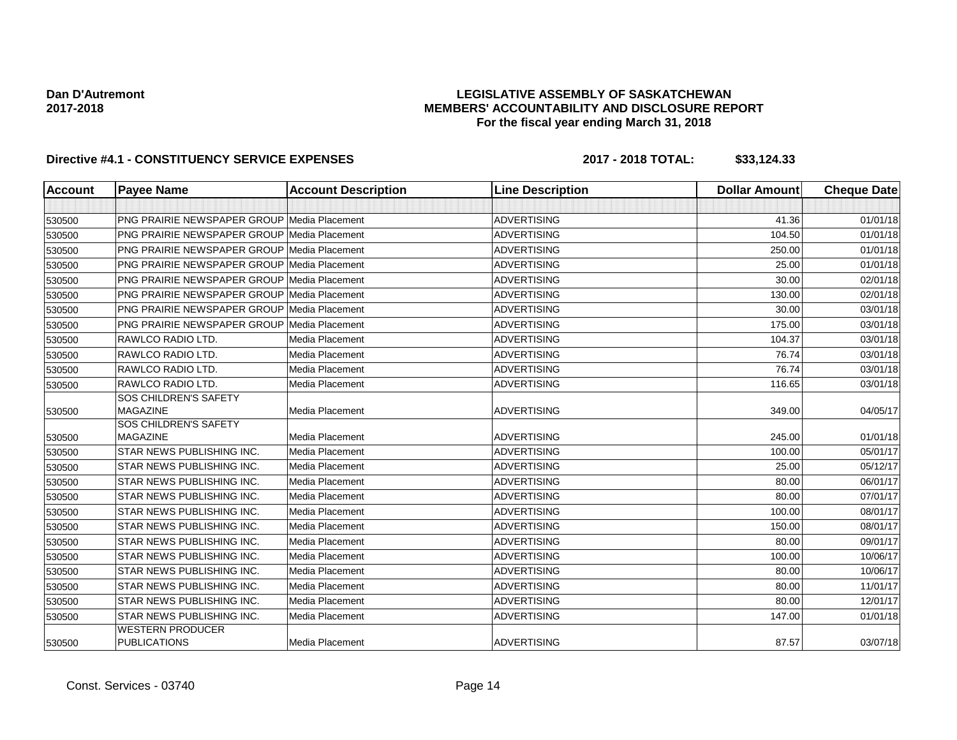### **LEGISLATIVE ASSEMBLY OF SASKATCHEWAN MEMBERS' ACCOUNTABILITY AND DISCLOSURE REPORT For the fiscal year ending March 31, 2018**

| <b>Account</b> | <b>Payee Name</b>                                  | <b>Account Description</b> | <b>Line Description</b> | <b>Dollar Amount</b> | <b>Cheque Date</b> |
|----------------|----------------------------------------------------|----------------------------|-------------------------|----------------------|--------------------|
|                |                                                    |                            |                         |                      |                    |
| 530500         | <b>PNG PRAIRIE NEWSPAPER GROUP Media Placement</b> |                            | <b>ADVERTISING</b>      | 41.36                | 01/01/18           |
| 530500         | <b>PNG PRAIRIE NEWSPAPER GROUP Media Placement</b> |                            | <b>ADVERTISING</b>      | 104.50               | 01/01/18           |
| 530500         | <b>PNG PRAIRIE NEWSPAPER GROUP Media Placement</b> |                            | <b>ADVERTISING</b>      | 250.00               | 01/01/18           |
| 530500         | PNG PRAIRIE NEWSPAPER GROUP Media Placement        |                            | <b>ADVERTISING</b>      | 25.00                | 01/01/18           |
| 530500         | <b>PNG PRAIRIE NEWSPAPER GROUP Media Placement</b> |                            | <b>ADVERTISING</b>      | 30.00                | 02/01/18           |
| 530500         | <b>PNG PRAIRIE NEWSPAPER GROUP Media Placement</b> |                            | <b>ADVERTISING</b>      | 130.00               | 02/01/18           |
| 530500         | <b>PNG PRAIRIE NEWSPAPER GROUP Media Placement</b> |                            | <b>ADVERTISING</b>      | 30.00                | 03/01/18           |
| 530500         | <b>PNG PRAIRIE NEWSPAPER GROUP Media Placement</b> |                            | <b>ADVERTISING</b>      | 175.00               | 03/01/18           |
| 530500         | <b>RAWLCO RADIO LTD.</b>                           | Media Placement            | <b>ADVERTISING</b>      | 104.37               | 03/01/18           |
| 530500         | RAWLCO RADIO LTD.                                  | Media Placement            | <b>ADVERTISING</b>      | 76.74                | 03/01/18           |
| 530500         | RAWLCO RADIO LTD.                                  | Media Placement            | <b>ADVERTISING</b>      | 76.74                | 03/01/18           |
| 530500         | RAWLCO RADIO LTD.                                  | Media Placement            | <b>ADVERTISING</b>      | 116.65               | 03/01/18           |
| 530500         | SOS CHILDREN'S SAFETY<br><b>MAGAZINE</b>           | Media Placement            | <b>ADVERTISING</b>      | 349.00               | 04/05/17           |
|                | <b>SOS CHILDREN'S SAFETY</b>                       |                            |                         |                      |                    |
| 530500         | <b>MAGAZINE</b>                                    | Media Placement            | <b>ADVERTISING</b>      | 245.00               | 01/01/18           |
| 530500         | <b>STAR NEWS PUBLISHING INC.</b>                   | Media Placement            | <b>ADVERTISING</b>      | 100.00               | 05/01/17           |
| 530500         | <b>STAR NEWS PUBLISHING INC.</b>                   | Media Placement            | <b>ADVERTISING</b>      | 25.00                | 05/12/17           |
| 530500         | <b>STAR NEWS PUBLISHING INC.</b>                   | Media Placement            | <b>ADVERTISING</b>      | 80.00                | 06/01/17           |
| 530500         | STAR NEWS PUBLISHING INC.                          | Media Placement            | <b>ADVERTISING</b>      | 80.00                | 07/01/17           |
| 530500         | <b>STAR NEWS PUBLISHING INC.</b>                   | Media Placement            | <b>ADVERTISING</b>      | 100.00               | 08/01/17           |
| 530500         | <b>STAR NEWS PUBLISHING INC.</b>                   | Media Placement            | <b>ADVERTISING</b>      | 150.00               | 08/01/17           |
| 530500         | <b>STAR NEWS PUBLISHING INC.</b>                   | Media Placement            | <b>ADVERTISING</b>      | 80.00                | 09/01/17           |
| 530500         | <b>STAR NEWS PUBLISHING INC.</b>                   | Media Placement            | <b>ADVERTISING</b>      | 100.00               | 10/06/17           |
| 530500         | STAR NEWS PUBLISHING INC.                          | Media Placement            | <b>ADVERTISING</b>      | 80.00                | 10/06/17           |
| 530500         | <b>STAR NEWS PUBLISHING INC.</b>                   | Media Placement            | <b>ADVERTISING</b>      | 80.00                | 11/01/17           |
| 530500         | <b>STAR NEWS PUBLISHING INC.</b>                   | Media Placement            | <b>ADVERTISING</b>      | 80.00                | 12/01/17           |
| 530500         | <b>STAR NEWS PUBLISHING INC.</b>                   | Media Placement            | <b>ADVERTISING</b>      | 147.00               | 01/01/18           |
| 530500         | <b>WESTERN PRODUCER</b><br><b>PUBLICATIONS</b>     | Media Placement            | <b>ADVERTISING</b>      | 87.57                | 03/07/18           |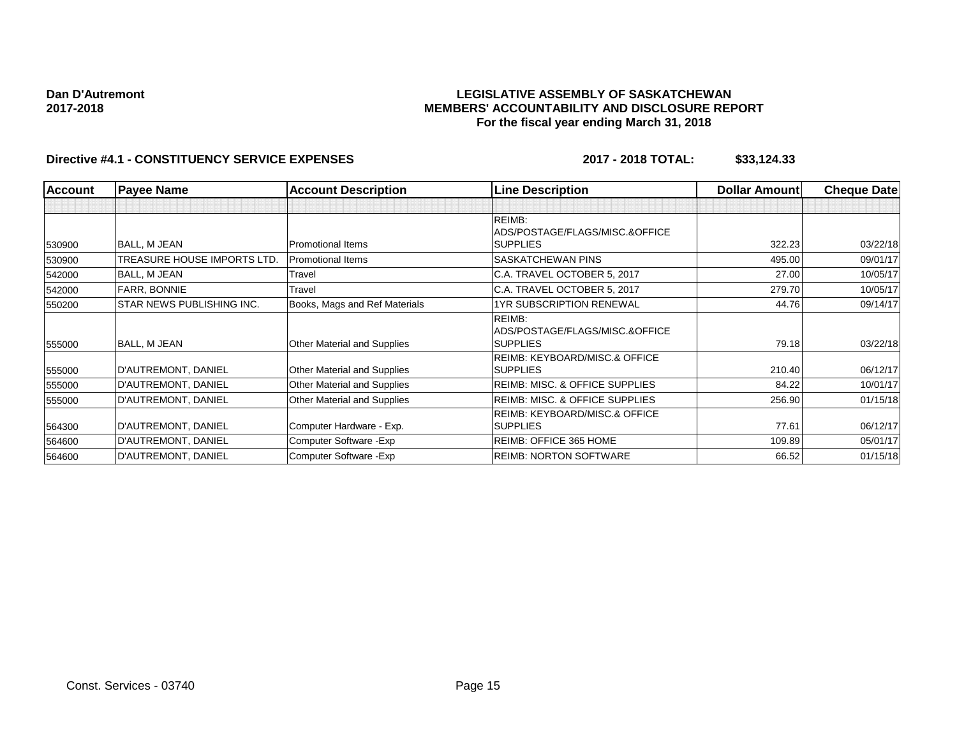#### **LEGISLATIVE ASSEMBLY OF SASKATCHEWAN MEMBERS' ACCOUNTABILITY AND DISCLOSURE REPORT For the fiscal year ending March 31, 2018**

| <b>Account</b> | <b>Payee Name</b>                | <b>Account Description</b>         | <b>Line Description</b>                   | <b>Dollar Amount</b> | <b>Cheque Date</b> |
|----------------|----------------------------------|------------------------------------|-------------------------------------------|----------------------|--------------------|
|                |                                  |                                    |                                           |                      |                    |
|                |                                  |                                    | REIMB:                                    |                      |                    |
|                |                                  |                                    | ADS/POSTAGE/FLAGS/MISC.&OFFICE            |                      |                    |
| 530900         | BALL, M JEAN                     | <b>Promotional Items</b>           | <b>SUPPLIES</b>                           | 322.23               | 03/22/18           |
| 530900         | TREASURE HOUSE IMPORTS LTD.      | <b>Promotional Items</b>           | SASKATCHEWAN PINS                         | 495.00               | 09/01/17           |
| 542000         | BALL, M JEAN                     | Travel                             | C.A. TRAVEL OCTOBER 5, 2017               | 27.00                | 10/05/17           |
| 542000         | <b>FARR, BONNIE</b>              | Travel                             | C.A. TRAVEL OCTOBER 5, 2017               | 279.70               | 10/05/17           |
| 550200         | <b>STAR NEWS PUBLISHING INC.</b> | Books, Mags and Ref Materials      | 1YR SUBSCRIPTION RENEWAL                  | 44.76                | 09/14/17           |
|                |                                  |                                    | REIMB:                                    |                      |                    |
|                |                                  |                                    | ADS/POSTAGE/FLAGS/MISC.&OFFICE            |                      |                    |
| 555000         | BALL, M JEAN                     | <b>Other Material and Supplies</b> | <b>SUPPLIES</b>                           | 79.18                | 03/22/18           |
|                |                                  |                                    | <b>REIMB: KEYBOARD/MISC.&amp; OFFICE</b>  |                      |                    |
| 555000         | D'AUTREMONT, DANIEL              | Other Material and Supplies        | SUPPLIES                                  | 210.40               | 06/12/17           |
| 555000         | D'AUTREMONT, DANIEL              | <b>Other Material and Supplies</b> | <b>REIMB: MISC. &amp; OFFICE SUPPLIES</b> | 84.22                | 10/01/17           |
| 555000         | D'AUTREMONT, DANIEL              | Other Material and Supplies        | <b>REIMB: MISC. &amp; OFFICE SUPPLIES</b> | 256.90               | 01/15/18           |
|                |                                  |                                    | <b>REIMB: KEYBOARD/MISC.&amp; OFFICE</b>  |                      |                    |
| 564300         | D'AUTREMONT, DANIEL              | Computer Hardware - Exp.           | <b>SUPPLIES</b>                           | 77.61                | 06/12/17           |
| 564600         | D'AUTREMONT, DANIEL              | Computer Software - Exp            | REIMB: OFFICE 365 HOME                    | 109.89               | 05/01/17           |
| 564600         | D'AUTREMONT, DANIEL              | Computer Software - Exp            | <b>REIMB: NORTON SOFTWARE</b>             | 66.52                | 01/15/18           |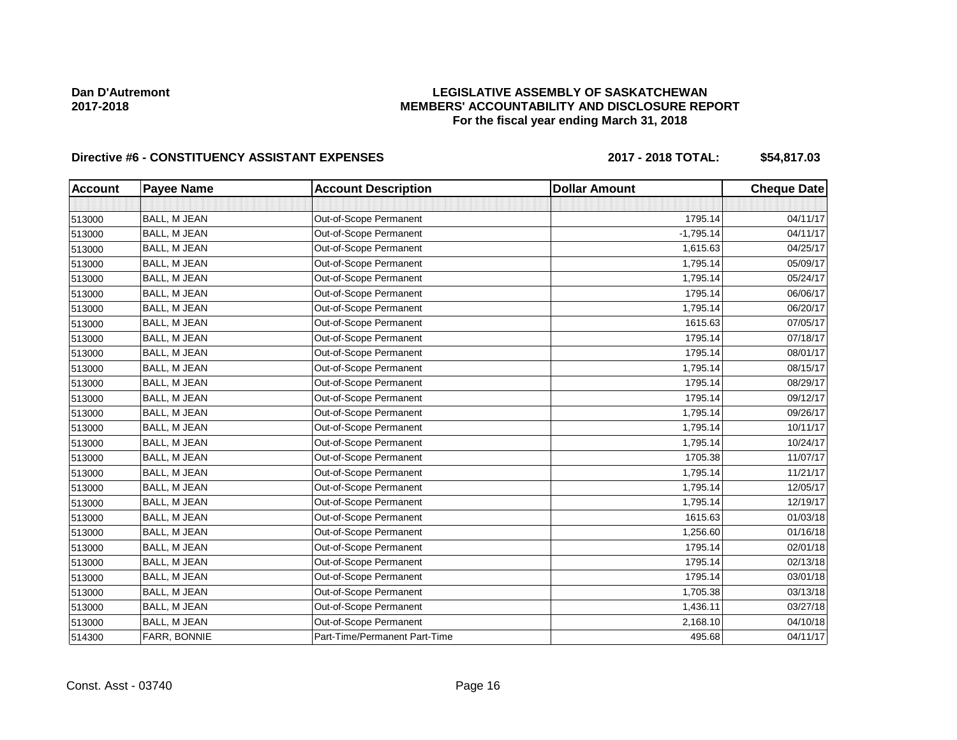### **LEGISLATIVE ASSEMBLY OF SASKATCHEWAN MEMBERS' ACCOUNTABILITY AND DISCLOSURE REPORT For the fiscal year ending March 31, 2018**

## Directive #6 - CONSTITUENCY ASSISTANT EXPENSES 2017 - 2018 TOTAL: \$54,817.03

| <b>Account</b> | <b>Payee Name</b>   | <b>Account Description</b>    | <b>Dollar Amount</b> | <b>Cheque Date</b> |
|----------------|---------------------|-------------------------------|----------------------|--------------------|
|                |                     |                               |                      |                    |
| 513000         | BALL, M JEAN        | Out-of-Scope Permanent        | 1795.14              | 04/11/17           |
| 513000         | BALL, M JEAN        | Out-of-Scope Permanent        | $-1,795.14$          | 04/11/17           |
| 513000         | BALL, M JEAN        | Out-of-Scope Permanent        | 1,615.63             | 04/25/17           |
| 513000         | <b>BALL, M JEAN</b> | Out-of-Scope Permanent        | 1,795.14             | 05/09/17           |
| 513000         | <b>BALL, M JEAN</b> | Out-of-Scope Permanent        | 1,795.14             | 05/24/17           |
| 513000         | BALL, M JEAN        | Out-of-Scope Permanent        | 1795.14              | 06/06/17           |
| 513000         | BALL, M JEAN        | Out-of-Scope Permanent        | 1,795.14             | 06/20/17           |
| 513000         | BALL, M JEAN        | Out-of-Scope Permanent        | 1615.63              | 07/05/17           |
| 513000         | BALL, M JEAN        | Out-of-Scope Permanent        | 1795.14              | 07/18/17           |
| 513000         | <b>BALL, M JEAN</b> | Out-of-Scope Permanent        | 1795.14              | 08/01/17           |
| 513000         | BALL, M JEAN        | Out-of-Scope Permanent        | 1,795.14             | 08/15/17           |
| 513000         | BALL, M JEAN        | Out-of-Scope Permanent        | 1795.14              | 08/29/17           |
| 513000         | BALL, M JEAN        | Out-of-Scope Permanent        | 1795.14              | 09/12/17           |
| 513000         | BALL, M JEAN        | Out-of-Scope Permanent        | 1,795.14             | 09/26/17           |
| 513000         | BALL, M JEAN        | Out-of-Scope Permanent        | 1,795.14             | 10/11/17           |
| 513000         | BALL, M JEAN        | Out-of-Scope Permanent        | 1,795.14             | 10/24/17           |
| 513000         | BALL, M JEAN        | Out-of-Scope Permanent        | 1705.38              | 11/07/17           |
| 513000         | BALL, M JEAN        | Out-of-Scope Permanent        | 1,795.14             | 11/21/17           |
| 513000         | BALL, M JEAN        | Out-of-Scope Permanent        | 1,795.14             | 12/05/17           |
| 513000         | BALL, M JEAN        | Out-of-Scope Permanent        | 1,795.14             | 12/19/17           |
| 513000         | BALL, M JEAN        | Out-of-Scope Permanent        | 1615.63              | 01/03/18           |
| 513000         | <b>BALL, M JEAN</b> | Out-of-Scope Permanent        | 1,256.60             | 01/16/18           |
| 513000         | BALL, M JEAN        | Out-of-Scope Permanent        | 1795.14              | 02/01/18           |
| 513000         | BALL, M JEAN        | Out-of-Scope Permanent        | 1795.14              | 02/13/18           |
| 513000         | <b>BALL, M JEAN</b> | Out-of-Scope Permanent        | 1795.14              | 03/01/18           |
| 513000         | BALL, M JEAN        | Out-of-Scope Permanent        | 1,705.38             | 03/13/18           |
| 513000         | BALL, M JEAN        | Out-of-Scope Permanent        | 1,436.11             | 03/27/18           |
| 513000         | BALL, M JEAN        | Out-of-Scope Permanent        | 2,168.10             | 04/10/18           |
| 514300         | FARR, BONNIE        | Part-Time/Permanent Part-Time | 495.68               | 04/11/17           |